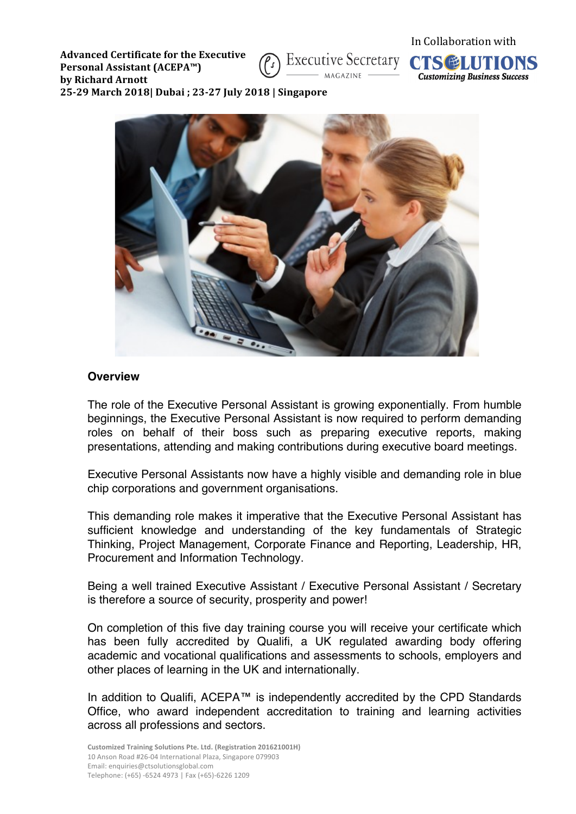**Advanced Certificate for the Executive Personal Assistant (ACEPA™) by Richard Arnott 25-29 March 2018| Dubai ; 23-27 July 2018 | Singapore**







### **Overview**

The role of the Executive Personal Assistant is growing exponentially. From humble beginnings, the Executive Personal Assistant is now required to perform demanding roles on behalf of their boss such as preparing executive reports, making presentations, attending and making contributions during executive board meetings.

Executive Personal Assistants now have a highly visible and demanding role in blue chip corporations and government organisations.

This demanding role makes it imperative that the Executive Personal Assistant has sufficient knowledge and understanding of the key fundamentals of Strategic Thinking, Project Management, Corporate Finance and Reporting, Leadership, HR, Procurement and Information Technology.

Being a well trained Executive Assistant / Executive Personal Assistant / Secretary is therefore a source of security, prosperity and power!

On completion of this five day training course you will receive your certificate which has been fully accredited by Qualifi, a UK regulated awarding body offering academic and vocational qualifications and assessments to schools, employers and other places of learning in the UK and internationally.

In addition to Qualifi, ACEPA™ is independently accredited by the CPD Standards Office, who award independent accreditation to training and learning activities across all professions and sectors.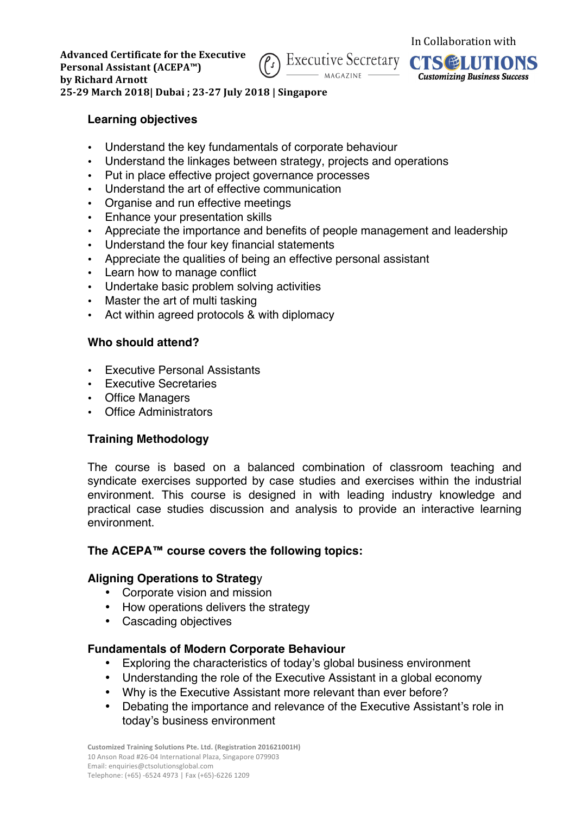



**25-29 March 2018| Dubai ; 23-27 July 2018 | Singapore**

# **Learning objectives**

- Understand the key fundamentals of corporate behaviour
- Understand the linkages between strategy, projects and operations
- Put in place effective project governance processes
- Understand the art of effective communication
- Organise and run effective meetings
- Enhance your presentation skills
- Appreciate the importance and benefits of people management and leadership
- Understand the four key financial statements
- Appreciate the qualities of being an effective personal assistant
- Learn how to manage conflict
- Undertake basic problem solving activities
- Master the art of multi tasking
- Act within agreed protocols & with diplomacy

## **Who should attend?**

- **Executive Personal Assistants**
- Executive Secretaries
- Office Managers
- Office Administrators

# **Training Methodology**

The course is based on a balanced combination of classroom teaching and syndicate exercises supported by case studies and exercises within the industrial environment. This course is designed in with leading industry knowledge and practical case studies discussion and analysis to provide an interactive learning environment.

# **The ACEPA™ course covers the following topics:**

## **Aligning Operations to Strateg**y

- Corporate vision and mission
- How operations delivers the strategy
- Cascading objectives

# **Fundamentals of Modern Corporate Behaviour**

- Exploring the characteristics of today's global business environment
- Understanding the role of the Executive Assistant in a global economy
- Why is the Executive Assistant more relevant than ever before?
- Debating the importance and relevance of the Executive Assistant's role in today's business environment

**Customized Training Solutions Pte. Ltd. (Registration 201621001H)** 10 Anson Road #26-04 International Plaza, Singapore 079903 Email: enquiries@ctsolutionsglobal.com Telephone: (+65) -6524 4973 | Fax (+65)-6226 1209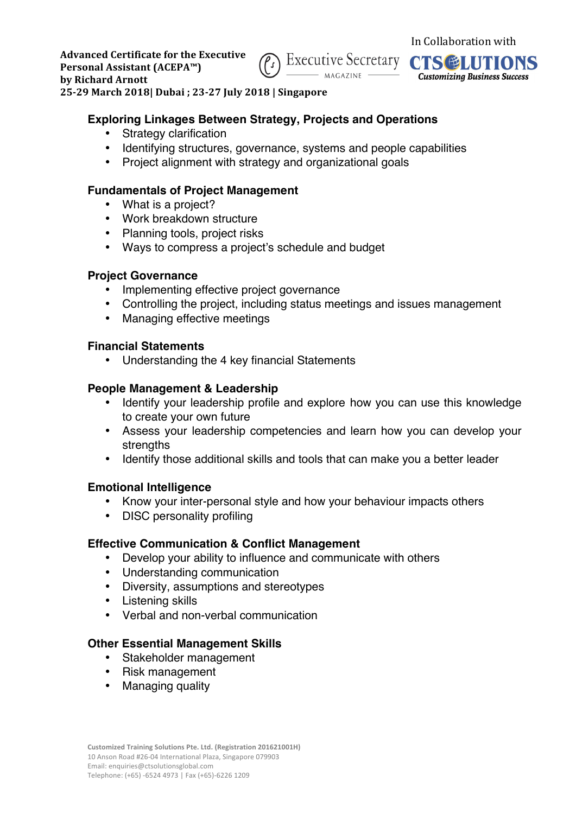



**25-29 March 2018| Dubai ; 23-27 July 2018 | Singapore**

## **Exploring Linkages Between Strategy, Projects and Operations**

- **Strategy clarification**
- Identifying structures, governance, systems and people capabilities
- Project alignment with strategy and organizational goals

# **Fundamentals of Project Management**

- What is a project?
- Work breakdown structure
- Planning tools, project risks
- Ways to compress a project's schedule and budget

## **Project Governance**

- Implementing effective project governance
- Controlling the project, including status meetings and issues management
- Managing effective meetings

## **Financial Statements**

• Understanding the 4 key financial Statements

## **People Management & Leadership**

- Identify your leadership profile and explore how you can use this knowledge to create your own future
- Assess your leadership competencies and learn how you can develop your strengths
- Identify those additional skills and tools that can make you a better leader

# **Emotional Intelligence**

- Know your inter-personal style and how your behaviour impacts others
- DISC personality profiling

## **Effective Communication & Conflict Management**

- Develop your ability to influence and communicate with others
- Understanding communication
- Diversity, assumptions and stereotypes
- Listening skills
- Verbal and non-verbal communication

## **Other Essential Management Skills**

- Stakeholder management
- Risk management
- Managing quality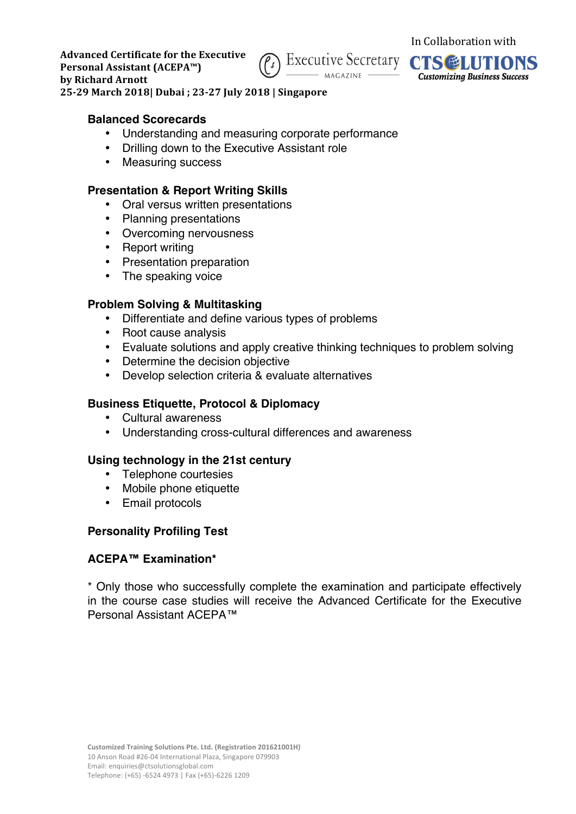



**25-29 March 2018| Dubai ; 23-27 July 2018 | Singapore**

#### **Balanced Scorecards**

- Understanding and measuring corporate performance
- Drilling down to the Executive Assistant role
- Measuring success

## **Presentation & Report Writing Skills**

- Oral versus written presentations
- Planning presentations
- Overcoming nervousness
- Report writing
- Presentation preparation
- The speaking voice

# **Problem Solving & Multitasking**

- Differentiate and define various types of problems
- Root cause analysis
- Evaluate solutions and apply creative thinking techniques to problem solving
- Determine the decision objective
- Develop selection criteria & evaluate alternatives

## **Business Etiquette, Protocol & Diplomacy**

- Cultural awareness
- Understanding cross-cultural differences and awareness

## **Using technology in the 21st century**

- Telephone courtesies
- Mobile phone etiquette
- Email protocols

## **Personality Profiling Test**

## **ACEPA™ Examination\***

\* Only those who successfully complete the examination and participate effectively in the course case studies will receive the Advanced Certificate for the Executive Personal Assistant ACEPA™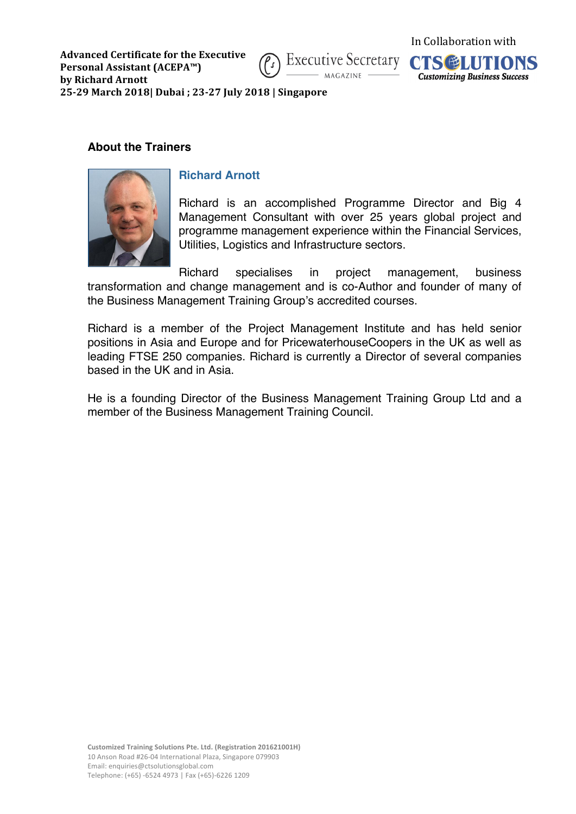



In Collaboration with

**25-29 March 2018| Dubai ; 23-27 July 2018 | Singapore**

### **About the Trainers**



## **Richard Arnott**

Richard is an accomplished Programme Director and Big 4 Management Consultant with over 25 years global project and programme management experience within the Financial Services, Utilities, Logistics and Infrastructure sectors.

Richard specialises in project management, business transformation and change management and is co-Author and founder of many of the Business Management Training Group's accredited courses.

Richard is a member of the Project Management Institute and has held senior positions in Asia and Europe and for PricewaterhouseCoopers in the UK as well as leading FTSE 250 companies. Richard is currently a Director of several companies based in the UK and in Asia.

He is a founding Director of the Business Management Training Group Ltd and a member of the Business Management Training Council.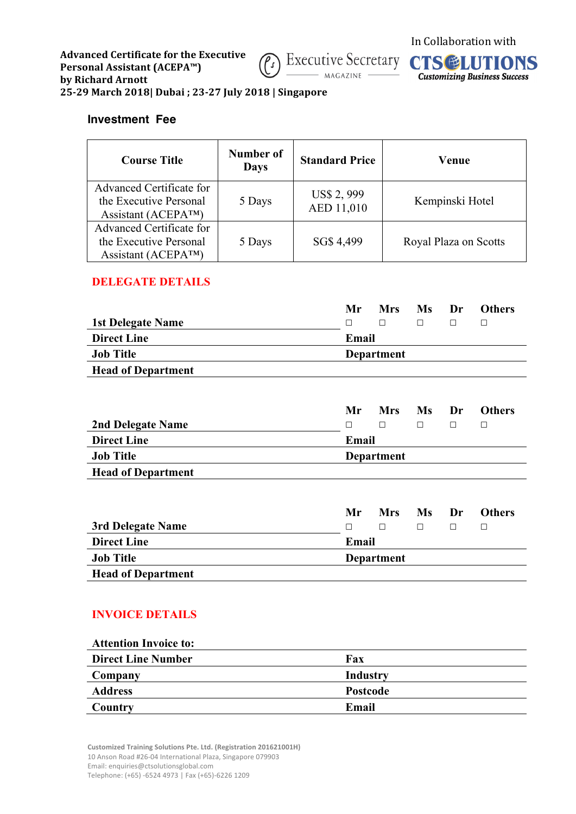



**25-29 March 2018| Dubai ; 23-27 July 2018 | Singapore**

### **Investment Fee**

| <b>Course Title</b>                                                                    | Number of<br><b>Days</b> | <b>Standard Price</b>            | Venue                 |
|----------------------------------------------------------------------------------------|--------------------------|----------------------------------|-----------------------|
| Advanced Certificate for<br>the Executive Personal<br>Assistant (ACEPA <sup>TM</sup> ) | 5 Days                   | <b>US\$ 2, 999</b><br>AED 11,010 | Kempinski Hotel       |
| Advanced Certificate for<br>the Executive Personal<br>Assistant ( $ACEPA^{TM}$ )       | 5 Days                   | SG\$ 4,499                       | Royal Plaza on Scotts |

## **DELEGATE DETAILS**

|                           | Mr       | <b>Mrs</b> | Ms Dr |  | <b>Others</b> |  |
|---------------------------|----------|------------|-------|--|---------------|--|
| <b>1st Delegate Name</b>  | <b>n</b> | $\perp$    | П     |  |               |  |
| <b>Direct Line</b>        |          | Email      |       |  |               |  |
| <b>Job Title</b>          |          | Department |       |  |               |  |
| <b>Head of Department</b> |          |            |       |  |               |  |

|                           | Mr.   | <b>Mrs</b> | Ms Dr | <b>Others</b> |
|---------------------------|-------|------------|-------|---------------|
| 2nd Delegate Name         | П     | $\perp$    | П     |               |
| <b>Direct Line</b>        | Email |            |       |               |
| <b>Job Title</b>          |       | Department |       |               |
| <b>Head of Department</b> |       |            |       |               |

|                           | Mr.   | <b>Mrs</b>        | Ms Dr  | <b>Others</b> |  |
|---------------------------|-------|-------------------|--------|---------------|--|
| 3rd Delegate Name         | П     | П                 | $\Box$ |               |  |
| <b>Direct Line</b>        | Email |                   |        |               |  |
| <b>Job Title</b>          |       | <b>Department</b> |        |               |  |
| <b>Head of Department</b> |       |                   |        |               |  |

# **INVOICE DETAILS**

| Fax      |
|----------|
| Industry |
| Postcode |
| Email    |
|          |